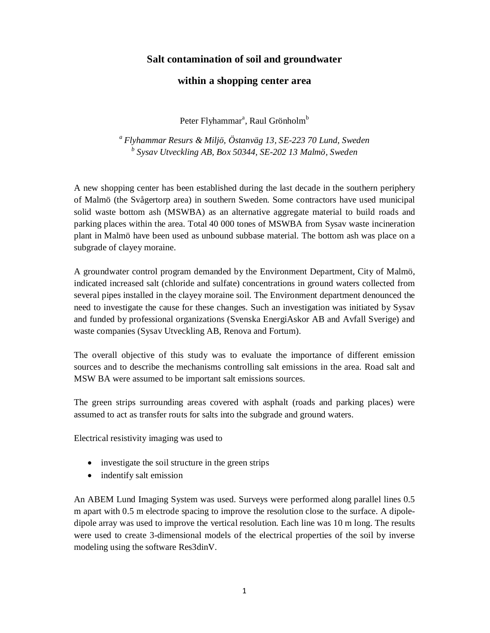## **Salt contamination of soil and groundwater**

## **within a shopping center area**

Peter Flyhammar<sup>a</sup>, Raul Grönholm<sup>b</sup>

*a Flyhammar Resurs & Miljö, Östanväg 13, SE-223 70 Lund, Sweden <sup>b</sup> Sysav Utveckling AB, Box 50344, SE-202 13 Malmö, Sweden*

A new shopping center has been established during the last decade in the southern periphery of Malmö (the Svågertorp area) in southern Sweden. Some contractors have used municipal solid waste bottom ash (MSWBA) as an alternative aggregate material to build roads and parking places within the area. Total 40 000 tones of MSWBA from Sysav waste incineration plant in Malmö have been used as unbound subbase material. The bottom ash was place on a subgrade of clayey moraine.

A groundwater control program demanded by the Environment Department, City of Malmö, indicated increased salt (chloride and sulfate) concentrations in ground waters collected from several pipes installed in the clayey moraine soil. The Environment department denounced the need to investigate the cause for these changes. Such an investigation was initiated by Sysav and funded by professional organizations (Svenska EnergiAskor AB and Avfall Sverige) and waste companies (Sysav Utveckling AB, Renova and Fortum).

The overall objective of this study was to evaluate the importance of different emission sources and to describe the mechanisms controlling salt emissions in the area. Road salt and MSW BA were assumed to be important salt emissions sources.

The green strips surrounding areas covered with asphalt (roads and parking places) were assumed to act as transfer routs for salts into the subgrade and ground waters.

Electrical resistivity imaging was used to

- investigate the soil structure in the green strips
- indentify salt emission

An ABEM Lund Imaging System was used. Surveys were performed along parallel lines 0.5 m apart with 0.5 m electrode spacing to improve the resolution close to the surface. A dipoledipole array was used to improve the vertical resolution. Each line was 10 m long. The results were used to create 3-dimensional models of the electrical properties of the soil by inverse modeling using the software Res3dinV.